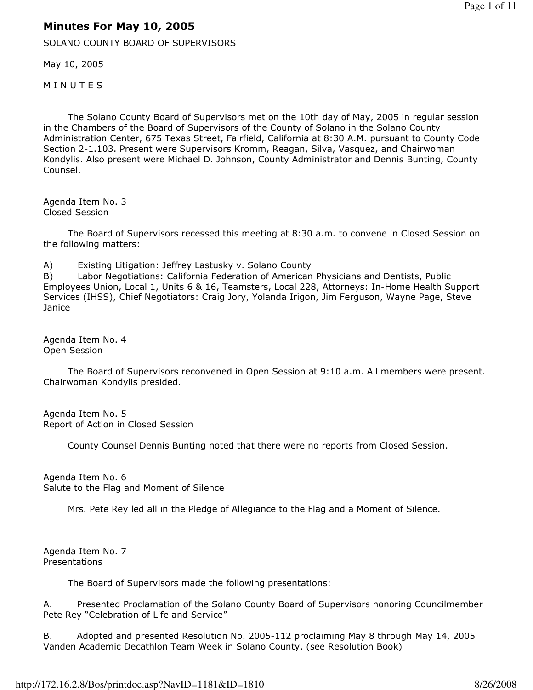## Minutes For May 10, 2005

SOLANO COUNTY BOARD OF SUPERVISORS

May 10, 2005

**MINUTES** 

 The Solano County Board of Supervisors met on the 10th day of May, 2005 in regular session in the Chambers of the Board of Supervisors of the County of Solano in the Solano County Administration Center, 675 Texas Street, Fairfield, California at 8:30 A.M. pursuant to County Code Section 2-1.103. Present were Supervisors Kromm, Reagan, Silva, Vasquez, and Chairwoman Kondylis. Also present were Michael D. Johnson, County Administrator and Dennis Bunting, County Counsel.

Agenda Item No. 3 Closed Session

 The Board of Supervisors recessed this meeting at 8:30 a.m. to convene in Closed Session on the following matters:

A) Existing Litigation: Jeffrey Lastusky v. Solano County

B) Labor Negotiations: California Federation of American Physicians and Dentists, Public Employees Union, Local 1, Units 6 & 16, Teamsters, Local 228, Attorneys: In-Home Health Support Services (IHSS), Chief Negotiators: Craig Jory, Yolanda Irigon, Jim Ferguson, Wayne Page, Steve **Janice** 

Agenda Item No. 4 Open Session

 The Board of Supervisors reconvened in Open Session at 9:10 a.m. All members were present. Chairwoman Kondylis presided.

Agenda Item No. 5 Report of Action in Closed Session

County Counsel Dennis Bunting noted that there were no reports from Closed Session.

Agenda Item No. 6 Salute to the Flag and Moment of Silence

Mrs. Pete Rey led all in the Pledge of Allegiance to the Flag and a Moment of Silence.

Agenda Item No. 7 Presentations

The Board of Supervisors made the following presentations:

A. Presented Proclamation of the Solano County Board of Supervisors honoring Councilmember Pete Rey "Celebration of Life and Service"

B. Adopted and presented Resolution No. 2005-112 proclaiming May 8 through May 14, 2005 Vanden Academic Decathlon Team Week in Solano County. (see Resolution Book)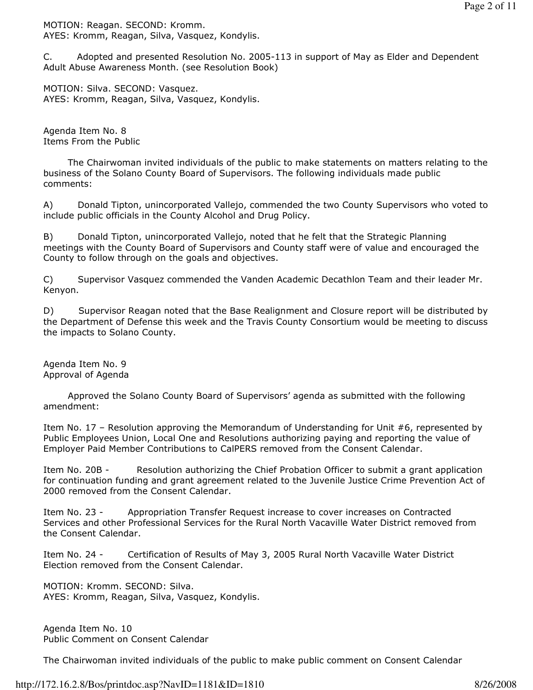MOTION: Reagan. SECOND: Kromm. AYES: Kromm, Reagan, Silva, Vasquez, Kondylis.

C. Adopted and presented Resolution No. 2005-113 in support of May as Elder and Dependent Adult Abuse Awareness Month. (see Resolution Book)

MOTION: Silva. SECOND: Vasquez. AYES: Kromm, Reagan, Silva, Vasquez, Kondylis.

Agenda Item No. 8 Items From the Public

 The Chairwoman invited individuals of the public to make statements on matters relating to the business of the Solano County Board of Supervisors. The following individuals made public comments:

A) Donald Tipton, unincorporated Vallejo, commended the two County Supervisors who voted to include public officials in the County Alcohol and Drug Policy.

B) Donald Tipton, unincorporated Vallejo, noted that he felt that the Strategic Planning meetings with the County Board of Supervisors and County staff were of value and encouraged the County to follow through on the goals and objectives.

C) Supervisor Vasquez commended the Vanden Academic Decathlon Team and their leader Mr. Kenyon.

D) Supervisor Reagan noted that the Base Realignment and Closure report will be distributed by the Department of Defense this week and the Travis County Consortium would be meeting to discuss the impacts to Solano County.

Agenda Item No. 9 Approval of Agenda

 Approved the Solano County Board of Supervisors' agenda as submitted with the following amendment:

Item No. 17 – Resolution approving the Memorandum of Understanding for Unit #6, represented by Public Employees Union, Local One and Resolutions authorizing paying and reporting the value of Employer Paid Member Contributions to CalPERS removed from the Consent Calendar.

Item No. 20B - Resolution authorizing the Chief Probation Officer to submit a grant application for continuation funding and grant agreement related to the Juvenile Justice Crime Prevention Act of 2000 removed from the Consent Calendar.

Item No. 23 - Appropriation Transfer Request increase to cover increases on Contracted Services and other Professional Services for the Rural North Vacaville Water District removed from the Consent Calendar.

Item No. 24 - Certification of Results of May 3, 2005 Rural North Vacaville Water District Election removed from the Consent Calendar.

MOTION: Kromm. SECOND: Silva. AYES: Kromm, Reagan, Silva, Vasquez, Kondylis.

Agenda Item No. 10 Public Comment on Consent Calendar

The Chairwoman invited individuals of the public to make public comment on Consent Calendar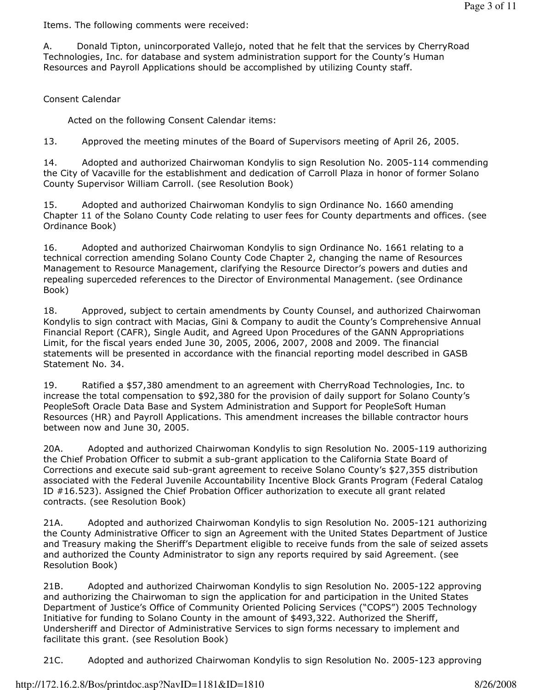Items. The following comments were received:

A. Donald Tipton, unincorporated Vallejo, noted that he felt that the services by CherryRoad Technologies, Inc. for database and system administration support for the County's Human Resources and Payroll Applications should be accomplished by utilizing County staff.

## Consent Calendar

Acted on the following Consent Calendar items:

13. Approved the meeting minutes of the Board of Supervisors meeting of April 26, 2005.

14. Adopted and authorized Chairwoman Kondylis to sign Resolution No. 2005-114 commending the City of Vacaville for the establishment and dedication of Carroll Plaza in honor of former Solano County Supervisor William Carroll. (see Resolution Book)

15. Adopted and authorized Chairwoman Kondylis to sign Ordinance No. 1660 amending Chapter 11 of the Solano County Code relating to user fees for County departments and offices. (see Ordinance Book)

16. Adopted and authorized Chairwoman Kondylis to sign Ordinance No. 1661 relating to a technical correction amending Solano County Code Chapter 2, changing the name of Resources Management to Resource Management, clarifying the Resource Director's powers and duties and repealing superceded references to the Director of Environmental Management. (see Ordinance Book)

18. Approved, subject to certain amendments by County Counsel, and authorized Chairwoman Kondylis to sign contract with Macias, Gini & Company to audit the County's Comprehensive Annual Financial Report (CAFR), Single Audit, and Agreed Upon Procedures of the GANN Appropriations Limit, for the fiscal years ended June 30, 2005, 2006, 2007, 2008 and 2009. The financial statements will be presented in accordance with the financial reporting model described in GASB Statement No. 34.

19. Ratified a \$57,380 amendment to an agreement with CherryRoad Technologies, Inc. to increase the total compensation to \$92,380 for the provision of daily support for Solano County's PeopleSoft Oracle Data Base and System Administration and Support for PeopleSoft Human Resources (HR) and Payroll Applications. This amendment increases the billable contractor hours between now and June 30, 2005.

20A. Adopted and authorized Chairwoman Kondylis to sign Resolution No. 2005-119 authorizing the Chief Probation Officer to submit a sub-grant application to the California State Board of Corrections and execute said sub-grant agreement to receive Solano County's \$27,355 distribution associated with the Federal Juvenile Accountability Incentive Block Grants Program (Federal Catalog ID #16.523). Assigned the Chief Probation Officer authorization to execute all grant related contracts. (see Resolution Book)

21A. Adopted and authorized Chairwoman Kondylis to sign Resolution No. 2005-121 authorizing the County Administrative Officer to sign an Agreement with the United States Department of Justice and Treasury making the Sheriff's Department eligible to receive funds from the sale of seized assets and authorized the County Administrator to sign any reports required by said Agreement. (see Resolution Book)

21B. Adopted and authorized Chairwoman Kondylis to sign Resolution No. 2005-122 approving and authorizing the Chairwoman to sign the application for and participation in the United States Department of Justice's Office of Community Oriented Policing Services ("COPS") 2005 Technology Initiative for funding to Solano County in the amount of \$493,322. Authorized the Sheriff, Undersheriff and Director of Administrative Services to sign forms necessary to implement and facilitate this grant. (see Resolution Book)

21C. Adopted and authorized Chairwoman Kondylis to sign Resolution No. 2005-123 approving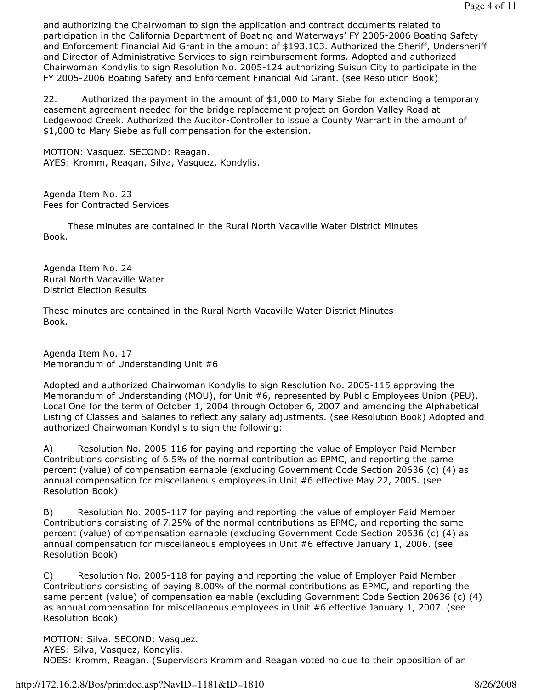and authorizing the Chairwoman to sign the application and contract documents related to participation in the California Department of Boating and Waterways' FY 2005-2006 Boating Safety and Enforcement Financial Aid Grant in the amount of \$193,103. Authorized the Sheriff, Undersheriff and Director of Administrative Services to sign reimbursement forms. Adopted and authorized Chairwoman Kondylis to sign Resolution No. 2005-124 authorizing Suisun City to participate in the FY 2005-2006 Boating Safety and Enforcement Financial Aid Grant. (see Resolution Book)

22. Authorized the payment in the amount of \$1,000 to Mary Siebe for extending a temporary easement agreement needed for the bridge replacement project on Gordon Valley Road at Ledgewood Creek. Authorized the Auditor-Controller to issue a County Warrant in the amount of \$1,000 to Mary Siebe as full compensation for the extension.

MOTION: Vasquez. SECOND: Reagan. AYES: Kromm, Reagan, Silva, Vasquez, Kondylis.

Agenda Item No. 23 Fees for Contracted Services

 These minutes are contained in the Rural North Vacaville Water District Minutes Book.

Agenda Item No. 24 Rural North Vacaville Water District Election Results

These minutes are contained in the Rural North Vacaville Water District Minutes Book.

Agenda Item No. 17 Memorandum of Understanding Unit #6

Adopted and authorized Chairwoman Kondylis to sign Resolution No. 2005-115 approving the Memorandum of Understanding (MOU), for Unit #6, represented by Public Employees Union (PEU), Local One for the term of October 1, 2004 through October 6, 2007 and amending the Alphabetical Listing of Classes and Salaries to reflect any salary adjustments. (see Resolution Book) Adopted and authorized Chairwoman Kondylis to sign the following:

A) Resolution No. 2005-116 for paying and reporting the value of Employer Paid Member Contributions consisting of 6.5% of the normal contribution as EPMC, and reporting the same percent (value) of compensation earnable (excluding Government Code Section 20636 (c) (4) as annual compensation for miscellaneous employees in Unit #6 effective May 22, 2005. (see Resolution Book)

B) Resolution No. 2005-117 for paying and reporting the value of employer Paid Member Contributions consisting of 7.25% of the normal contributions as EPMC, and reporting the same percent (value) of compensation earnable (excluding Government Code Section 20636 (c) (4) as annual compensation for miscellaneous employees in Unit #6 effective January 1, 2006. (see Resolution Book)

C) Resolution No. 2005-118 for paying and reporting the value of Employer Paid Member Contributions consisting of paying 8.00% of the normal contributions as EPMC, and reporting the same percent (value) of compensation earnable (excluding Government Code Section 20636 (c) (4) as annual compensation for miscellaneous employees in Unit #6 effective January 1, 2007. (see Resolution Book)

MOTION: Silva. SECOND: Vasquez. AYES: Silva, Vasquez, Kondylis.

NOES: Kromm, Reagan. (Supervisors Kromm and Reagan voted no due to their opposition of an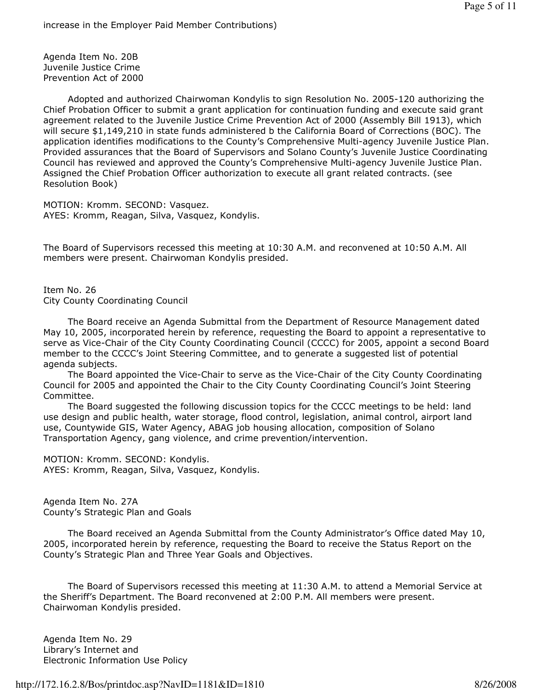Agenda Item No. 20B Juvenile Justice Crime Prevention Act of 2000

 Adopted and authorized Chairwoman Kondylis to sign Resolution No. 2005-120 authorizing the Chief Probation Officer to submit a grant application for continuation funding and execute said grant agreement related to the Juvenile Justice Crime Prevention Act of 2000 (Assembly Bill 1913), which will secure \$1,149,210 in state funds administered b the California Board of Corrections (BOC). The application identifies modifications to the County's Comprehensive Multi-agency Juvenile Justice Plan. Provided assurances that the Board of Supervisors and Solano County's Juvenile Justice Coordinating Council has reviewed and approved the County's Comprehensive Multi-agency Juvenile Justice Plan. Assigned the Chief Probation Officer authorization to execute all grant related contracts. (see Resolution Book)

MOTION: Kromm. SECOND: Vasquez. AYES: Kromm, Reagan, Silva, Vasquez, Kondylis.

The Board of Supervisors recessed this meeting at 10:30 A.M. and reconvened at 10:50 A.M. All members were present. Chairwoman Kondylis presided.

Item No. 26 City County Coordinating Council

 The Board receive an Agenda Submittal from the Department of Resource Management dated May 10, 2005, incorporated herein by reference, requesting the Board to appoint a representative to serve as Vice-Chair of the City County Coordinating Council (CCCC) for 2005, appoint a second Board member to the CCCC's Joint Steering Committee, and to generate a suggested list of potential agenda subjects.

 The Board appointed the Vice-Chair to serve as the Vice-Chair of the City County Coordinating Council for 2005 and appointed the Chair to the City County Coordinating Council's Joint Steering Committee.

 The Board suggested the following discussion topics for the CCCC meetings to be held: land use design and public health, water storage, flood control, legislation, animal control, airport land use, Countywide GIS, Water Agency, ABAG job housing allocation, composition of Solano Transportation Agency, gang violence, and crime prevention/intervention.

MOTION: Kromm. SECOND: Kondylis. AYES: Kromm, Reagan, Silva, Vasquez, Kondylis.

Agenda Item No. 27A County's Strategic Plan and Goals

 The Board received an Agenda Submittal from the County Administrator's Office dated May 10, 2005, incorporated herein by reference, requesting the Board to receive the Status Report on the County's Strategic Plan and Three Year Goals and Objectives.

 The Board of Supervisors recessed this meeting at 11:30 A.M. to attend a Memorial Service at the Sheriff's Department. The Board reconvened at 2:00 P.M. All members were present. Chairwoman Kondylis presided.

Agenda Item No. 29 Library's Internet and Electronic Information Use Policy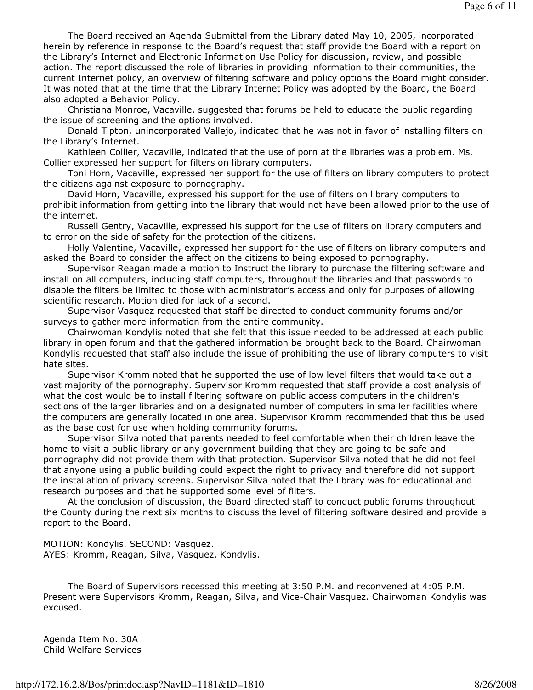The Board received an Agenda Submittal from the Library dated May 10, 2005, incorporated herein by reference in response to the Board's request that staff provide the Board with a report on the Library's Internet and Electronic Information Use Policy for discussion, review, and possible action. The report discussed the role of libraries in providing information to their communities, the current Internet policy, an overview of filtering software and policy options the Board might consider. It was noted that at the time that the Library Internet Policy was adopted by the Board, the Board also adopted a Behavior Policy.

 Christiana Monroe, Vacaville, suggested that forums be held to educate the public regarding the issue of screening and the options involved.

 Donald Tipton, unincorporated Vallejo, indicated that he was not in favor of installing filters on the Library's Internet.

 Kathleen Collier, Vacaville, indicated that the use of porn at the libraries was a problem. Ms. Collier expressed her support for filters on library computers.

 Toni Horn, Vacaville, expressed her support for the use of filters on library computers to protect the citizens against exposure to pornography.

 David Horn, Vacaville, expressed his support for the use of filters on library computers to prohibit information from getting into the library that would not have been allowed prior to the use of the internet.

 Russell Gentry, Vacaville, expressed his support for the use of filters on library computers and to error on the side of safety for the protection of the citizens.

 Holly Valentine, Vacaville, expressed her support for the use of filters on library computers and asked the Board to consider the affect on the citizens to being exposed to pornography.

 Supervisor Reagan made a motion to Instruct the library to purchase the filtering software and install on all computers, including staff computers, throughout the libraries and that passwords to disable the filters be limited to those with administrator's access and only for purposes of allowing scientific research. Motion died for lack of a second.

 Supervisor Vasquez requested that staff be directed to conduct community forums and/or surveys to gather more information from the entire community.

 Chairwoman Kondylis noted that she felt that this issue needed to be addressed at each public library in open forum and that the gathered information be brought back to the Board. Chairwoman Kondylis requested that staff also include the issue of prohibiting the use of library computers to visit hate sites.

 Supervisor Kromm noted that he supported the use of low level filters that would take out a vast majority of the pornography. Supervisor Kromm requested that staff provide a cost analysis of what the cost would be to install filtering software on public access computers in the children's sections of the larger libraries and on a designated number of computers in smaller facilities where the computers are generally located in one area. Supervisor Kromm recommended that this be used as the base cost for use when holding community forums.

 Supervisor Silva noted that parents needed to feel comfortable when their children leave the home to visit a public library or any government building that they are going to be safe and pornography did not provide them with that protection. Supervisor Silva noted that he did not feel that anyone using a public building could expect the right to privacy and therefore did not support the installation of privacy screens. Supervisor Silva noted that the library was for educational and research purposes and that he supported some level of filters.

 At the conclusion of discussion, the Board directed staff to conduct public forums throughout the County during the next six months to discuss the level of filtering software desired and provide a report to the Board.

MOTION: Kondylis. SECOND: Vasquez. AYES: Kromm, Reagan, Silva, Vasquez, Kondylis.

 The Board of Supervisors recessed this meeting at 3:50 P.M. and reconvened at 4:05 P.M. Present were Supervisors Kromm, Reagan, Silva, and Vice-Chair Vasquez. Chairwoman Kondylis was excused.

Agenda Item No. 30A Child Welfare Services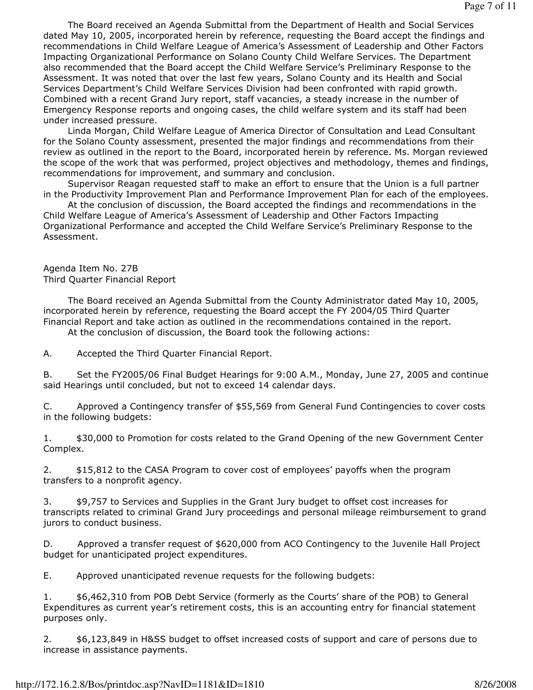The Board received an Agenda Submittal from the Department of Health and Social Services dated May 10, 2005, incorporated herein by reference, requesting the Board accept the findings and recommendations in Child Welfare League of America's Assessment of Leadership and Other Factors Impacting Organizational Performance on Solano County Child Welfare Services. The Department also recommended that the Board accept the Child Welfare Service's Preliminary Response to the Assessment. It was noted that over the last few years, Solano County and its Health and Social Services Department's Child Welfare Services Division had been confronted with rapid growth. Combined with a recent Grand Jury report, staff vacancies, a steady increase in the number of Emergency Response reports and ongoing cases, the child welfare system and its staff had been under increased pressure.

 Linda Morgan, Child Welfare League of America Director of Consultation and Lead Consultant for the Solano County assessment, presented the major findings and recommendations from their review as outlined in the report to the Board, incorporated herein by reference. Ms. Morgan reviewed the scope of the work that was performed, project objectives and methodology, themes and findings, recommendations for improvement, and summary and conclusion.

 Supervisor Reagan requested staff to make an effort to ensure that the Union is a full partner in the Productivity Improvement Plan and Performance Improvement Plan for each of the employees.

 At the conclusion of discussion, the Board accepted the findings and recommendations in the Child Welfare League of America's Assessment of Leadership and Other Factors Impacting Organizational Performance and accepted the Child Welfare Service's Preliminary Response to the Assessment.

Agenda Item No. 27B Third Quarter Financial Report

 The Board received an Agenda Submittal from the County Administrator dated May 10, 2005, incorporated herein by reference, requesting the Board accept the FY 2004/05 Third Quarter Financial Report and take action as outlined in the recommendations contained in the report.

At the conclusion of discussion, the Board took the following actions:

A. Accepted the Third Quarter Financial Report.

B. Set the FY2005/06 Final Budget Hearings for 9:00 A.M., Monday, June 27, 2005 and continue said Hearings until concluded, but not to exceed 14 calendar days.

C. Approved a Contingency transfer of \$55,569 from General Fund Contingencies to cover costs in the following budgets:

1. \$30,000 to Promotion for costs related to the Grand Opening of the new Government Center Complex.

2. \$15,812 to the CASA Program to cover cost of employees' payoffs when the program transfers to a nonprofit agency.

3. \$9,757 to Services and Supplies in the Grant Jury budget to offset cost increases for transcripts related to criminal Grand Jury proceedings and personal mileage reimbursement to grand jurors to conduct business.

D. Approved a transfer request of \$620,000 from ACO Contingency to the Juvenile Hall Project budget for unanticipated project expenditures.

E. Approved unanticipated revenue requests for the following budgets:

1. \$6,462,310 from POB Debt Service (formerly as the Courts' share of the POB) to General Expenditures as current year's retirement costs, this is an accounting entry for financial statement purposes only.

2. \$6,123,849 in H&SS budget to offset increased costs of support and care of persons due to increase in assistance payments.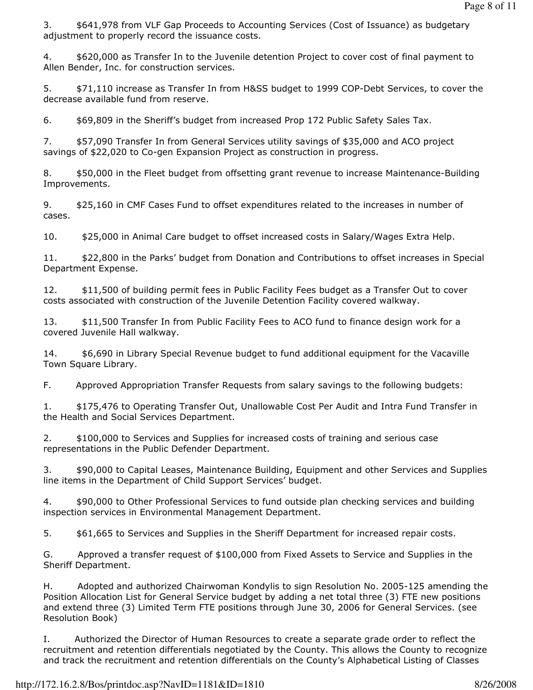3. \$641,978 from VLF Gap Proceeds to Accounting Services (Cost of Issuance) as budgetary adjustment to properly record the issuance costs.

4. \$620,000 as Transfer In to the Juvenile detention Project to cover cost of final payment to Allen Bender, Inc. for construction services.

5.  $$71,110$  increase as Transfer In from H&SS budget to 1999 COP-Debt Services, to cover the decrease available fund from reserve.

6. \$69,809 in the Sheriff's budget from increased Prop 172 Public Safety Sales Tax.

7. \$57,090 Transfer In from General Services utility savings of \$35,000 and ACO project savings of \$22,020 to Co-gen Expansion Project as construction in progress.

8. \$50,000 in the Fleet budget from offsetting grant revenue to increase Maintenance-Building Improvements.

9. \$25,160 in CMF Cases Fund to offset expenditures related to the increases in number of cases.

10. \$25,000 in Animal Care budget to offset increased costs in Salary/Wages Extra Help.

11. \$22,800 in the Parks' budget from Donation and Contributions to offset increases in Special Department Expense.

12. \$11,500 of building permit fees in Public Facility Fees budget as a Transfer Out to cover costs associated with construction of the Juvenile Detention Facility covered walkway.

13. \$11,500 Transfer In from Public Facility Fees to ACO fund to finance design work for a covered Juvenile Hall walkway.

14. \$6,690 in Library Special Revenue budget to fund additional equipment for the Vacaville Town Square Library.

F. Approved Appropriation Transfer Requests from salary savings to the following budgets:

1. \$175,476 to Operating Transfer Out, Unallowable Cost Per Audit and Intra Fund Transfer in the Health and Social Services Department.

2. \$100,000 to Services and Supplies for increased costs of training and serious case representations in the Public Defender Department.

3. \$90,000 to Capital Leases, Maintenance Building, Equipment and other Services and Supplies line items in the Department of Child Support Services' budget.

4. \$90,000 to Other Professional Services to fund outside plan checking services and building inspection services in Environmental Management Department.

5.  $$61,665$  to Services and Supplies in the Sheriff Department for increased repair costs.

G. Approved a transfer request of \$100,000 from Fixed Assets to Service and Supplies in the Sheriff Department.

H. Adopted and authorized Chairwoman Kondylis to sign Resolution No. 2005-125 amending the Position Allocation List for General Service budget by adding a net total three (3) FTE new positions and extend three (3) Limited Term FTE positions through June 30, 2006 for General Services. (see Resolution Book)

I. Authorized the Director of Human Resources to create a separate grade order to reflect the recruitment and retention differentials negotiated by the County. This allows the County to recognize and track the recruitment and retention differentials on the County's Alphabetical Listing of Classes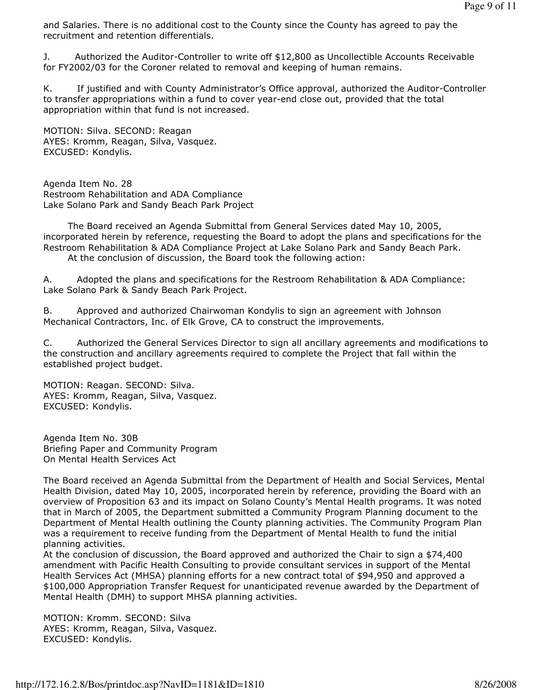and Salaries. There is no additional cost to the County since the County has agreed to pay the recruitment and retention differentials.

J. Authorized the Auditor-Controller to write off \$12,800 as Uncollectible Accounts Receivable for FY2002/03 for the Coroner related to removal and keeping of human remains.

K. If justified and with County Administrator's Office approval, authorized the Auditor-Controller to transfer appropriations within a fund to cover year-end close out, provided that the total appropriation within that fund is not increased.

MOTION: Silva. SECOND: Reagan AYES: Kromm, Reagan, Silva, Vasquez. EXCUSED: Kondylis.

Agenda Item No. 28 Restroom Rehabilitation and ADA Compliance Lake Solano Park and Sandy Beach Park Project

 The Board received an Agenda Submittal from General Services dated May 10, 2005, incorporated herein by reference, requesting the Board to adopt the plans and specifications for the Restroom Rehabilitation & ADA Compliance Project at Lake Solano Park and Sandy Beach Park. At the conclusion of discussion, the Board took the following action:

A. Adopted the plans and specifications for the Restroom Rehabilitation & ADA Compliance: Lake Solano Park & Sandy Beach Park Project.

B. Approved and authorized Chairwoman Kondylis to sign an agreement with Johnson Mechanical Contractors, Inc. of Elk Grove, CA to construct the improvements.

C. Authorized the General Services Director to sign all ancillary agreements and modifications to the construction and ancillary agreements required to complete the Project that fall within the established project budget.

MOTION: Reagan. SECOND: Silva. AYES: Kromm, Reagan, Silva, Vasquez. EXCUSED: Kondylis.

Agenda Item No. 30B Briefing Paper and Community Program On Mental Health Services Act

The Board received an Agenda Submittal from the Department of Health and Social Services, Mental Health Division, dated May 10, 2005, incorporated herein by reference, providing the Board with an overview of Proposition 63 and its impact on Solano County's Mental Health programs. It was noted that in March of 2005, the Department submitted a Community Program Planning document to the Department of Mental Health outlining the County planning activities. The Community Program Plan was a requirement to receive funding from the Department of Mental Health to fund the initial planning activities.

At the conclusion of discussion, the Board approved and authorized the Chair to sign a \$74,400 amendment with Pacific Health Consulting to provide consultant services in support of the Mental Health Services Act (MHSA) planning efforts for a new contract total of \$94,950 and approved a \$100,000 Appropriation Transfer Request for unanticipated revenue awarded by the Department of Mental Health (DMH) to support MHSA planning activities.

MOTION: Kromm. SECOND: Silva AYES: Kromm, Reagan, Silva, Vasquez. EXCUSED: Kondylis.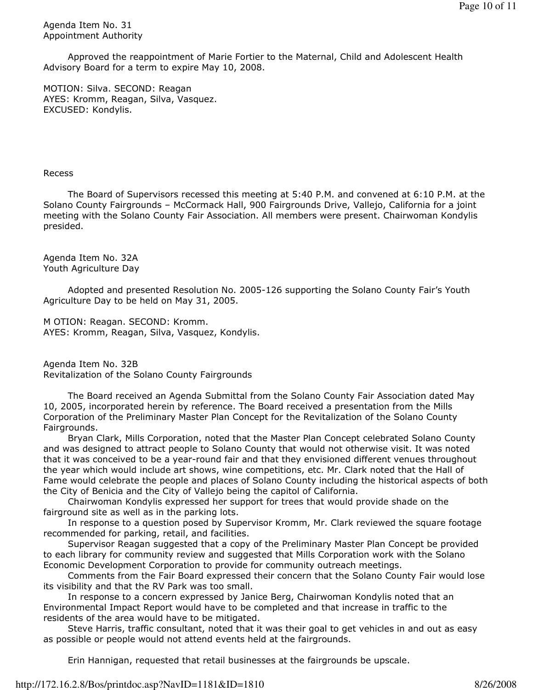Agenda Item No. 31 Appointment Authority

 Approved the reappointment of Marie Fortier to the Maternal, Child and Adolescent Health Advisory Board for a term to expire May 10, 2008.

MOTION: Silva. SECOND: Reagan AYES: Kromm, Reagan, Silva, Vasquez. EXCUSED: Kondylis.

## Recess

 The Board of Supervisors recessed this meeting at 5:40 P.M. and convened at 6:10 P.M. at the Solano County Fairgrounds – McCormack Hall, 900 Fairgrounds Drive, Vallejo, California for a joint meeting with the Solano County Fair Association. All members were present. Chairwoman Kondylis presided.

Agenda Item No. 32A Youth Agriculture Day

 Adopted and presented Resolution No. 2005-126 supporting the Solano County Fair's Youth Agriculture Day to be held on May 31, 2005.

M OTION: Reagan. SECOND: Kromm. AYES: Kromm, Reagan, Silva, Vasquez, Kondylis.

Agenda Item No. 32B Revitalization of the Solano County Fairgrounds

 The Board received an Agenda Submittal from the Solano County Fair Association dated May 10, 2005, incorporated herein by reference. The Board received a presentation from the Mills Corporation of the Preliminary Master Plan Concept for the Revitalization of the Solano County Fairgrounds.

 Bryan Clark, Mills Corporation, noted that the Master Plan Concept celebrated Solano County and was designed to attract people to Solano County that would not otherwise visit. It was noted that it was conceived to be a year-round fair and that they envisioned different venues throughout the year which would include art shows, wine competitions, etc. Mr. Clark noted that the Hall of Fame would celebrate the people and places of Solano County including the historical aspects of both the City of Benicia and the City of Vallejo being the capitol of California.

 Chairwoman Kondylis expressed her support for trees that would provide shade on the fairground site as well as in the parking lots.

 In response to a question posed by Supervisor Kromm, Mr. Clark reviewed the square footage recommended for parking, retail, and facilities.

 Supervisor Reagan suggested that a copy of the Preliminary Master Plan Concept be provided to each library for community review and suggested that Mills Corporation work with the Solano Economic Development Corporation to provide for community outreach meetings.

 Comments from the Fair Board expressed their concern that the Solano County Fair would lose its visibility and that the RV Park was too small.

 In response to a concern expressed by Janice Berg, Chairwoman Kondylis noted that an Environmental Impact Report would have to be completed and that increase in traffic to the residents of the area would have to be mitigated.

 Steve Harris, traffic consultant, noted that it was their goal to get vehicles in and out as easy as possible or people would not attend events held at the fairgrounds.

Erin Hannigan, requested that retail businesses at the fairgrounds be upscale.